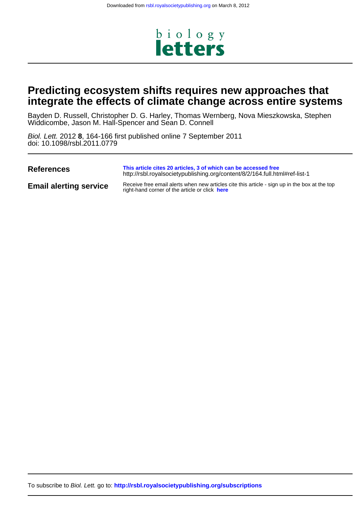

# **integrate the effects of climate change across entire systems Predicting ecosystem shifts requires new approaches that**

Widdicombe, Jason M. Hall-Spencer and Sean D. Connell Bayden D. Russell, Christopher D. G. Harley, Thomas Wernberg, Nova Mieszkowska, Stephen

doi: 10.1098/rsbl.2011.0779 Biol. Lett. 2012 **8**, 164-166 first published online 7 September 2011

| <b>References</b>             | This article cites 20 articles, 3 of which can be accessed free<br>http://rsbl.royalsocietypublishing.org/content/8/2/164.full.html#ref-list-1  |
|-------------------------------|-------------------------------------------------------------------------------------------------------------------------------------------------|
| <b>Email alerting service</b> | Receive free email alerts when new articles cite this article - sign up in the box at the top<br>right-hand corner of the article or click here |

To subscribe to Biol. Lett. go to: **<http://rsbl.royalsocietypublishing.org/subscriptions>**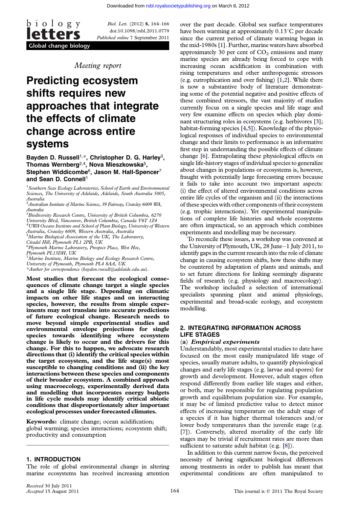$\underline{b}$  i o l o g y letters Global change biology

Biol. Lett. (2012) 8, 164–166 doi:10.1098/rsbl.2011.0779 Published online 7 September 2011

Meeting report

# Predicting ecosystem shifts requires new approaches that integrate the effects of climate change across entire systems

### Bayden D. Russell<sup>1,\*</sup>, Christopher D. G. Harley<sup>3</sup>, Thomas Wernberg<sup>2,4</sup>, Nova Mieszkowska<sup>5</sup>, Stephen Widdicombe<sup>6</sup>, Jason M. Hall-Spencer<sup>7</sup> and Sean D. Connell<sup>1</sup>

<sup>1</sup> Southern Seas Ecology Laboratories, School of Earth and Environmental Sciences, The University of Adelaide, Adelaide, South Australia 5005,

Australia 2 Australian Institute of Marine Science, 39 Fairway, Crawley 6009 WA, Australia

<sup>3</sup> Biodiversity Research Centre, University of British Columbia, 6270 University Blvd, Vancouver, British Columbia, Canada V6T 1Z4 <sup>4</sup> UWA Oceans Institute and School of Plant Biology, University of Western Australia, Crawley 6009, Western Australia, Australia 5 Marine Biological Association of the UK, The Laboratory,

Citadel Hill, Plymouth PL1 2PB, UK

<sup>6</sup> Plymouth Marine Laboratory, Prospect Place, West Hoe, Plymouth PL13DH, UK

 $^{7}$ Marine Institute, Marine Biology and Ecology Research Centre,

University of Plymouth, Plymouth PL4 8AA, UK

\*Author for correspondence ([bayden.russell@adelaide.edu.au](mailto:bayden.russell@adelaide.edu.au)).

Most studies that forecast the ecological consequences of climate change target a single species and a single life stage. Depending on climatic impacts on other life stages and on interacting species, however, the results from simple experiments may not translate into accurate predictions of future ecological change. Research needs to move beyond simple experimental studies and environmental envelope projections for single species towards identifying where ecosystem change is likely to occur and the drivers for this change. For this to happen, we advocate research directions that (i) identify the critical species within the target ecosystem, and the life stage(s) most susceptible to changing conditions and (ii) the key interactions between these species and components of their broader ecosystem. A combined approach using macroecology, experimentally derived data and modelling that incorporates energy budgets in life cycle models may identify critical abiotic conditions that disproportionately alter important ecological processes under forecasted climates.

Keywords: climate change; ocean acidification; global warming; species interactions; ecosystem shift; productivity and consumption

#### 1. INTRODUCTION

The role of global environmental change in altering marine ecosystems has received increasing attention over the past decade. Global sea surface temperatures have been warming at approximately  $0.13^{\circ}$ C per decade since the current period of climate warming began in the mid-1980s [\[1](#page-3-0)]. Further, marine waters have absorbed approximately 30 per cent of  $CO<sub>2</sub>$  emissions and many marine species are already being forced to cope with increasing ocean acidification in combination with rising temperatures and other anthropogenic stressors (e.g. eutrophication and over fishing) [\[1,2\]](#page-3-0). While there is now a substantive body of literature demonstrating some of the potential negative and positive effects of these combined stressors, the vast majority of studies currently focus on a single species and life stage and very few examine effects on species which play dominant structuring roles in ecosystems (e.g. herbivores [[3](#page-3-0)]; habitat-forming species [[4,5](#page-3-0)]). Knowledge of the physiological responses of individual species to environmental change and their limits to performance is an informative first step in understanding the possible effects of climate change [[6](#page-3-0)]. Extrapolating these physiological effects on single life-history stages of individual species to generalize about changes in populations or ecosystems is, however, fraught with potentially large forecasting errors because it fails to take into account two important aspects: (i) the effect of altered environmental conditions across entire life cycles of the organism and (ii) the interactions of these species with other components of their ecosystem (e.g. trophic interactions). Yet experimental manipulations of complete life histories and whole ecosystems are often impractical, so an approach which combines experiments and modelling may be necessary.

To reconcile these issues, a workshop was convened at the University of Plymouth, UK, 28 June–1 July 2011, to identify gaps in the current research into the role of climate change in causing ecosystem shifts, how these shifts may be countered by adaptation of plants and animals, and to set future directions for linking seemingly disparate fields of research (e.g. physiology and macroecology). The workshop included a selection of international specialists spanning plant and animal physiology, experimental and broad-scale ecology, and ecosystem modelling.

# 2. INTEGRATING INFORMATION ACROSS LIFE STAGES

#### (a) Empirical experiments

Understandably, most experimental studies to date have focused on the most easily manipulated life stage of species, usually mature adults, to quantify physiological changes and early life stages (e.g. larvae and spores) for growth and development. However, adult stages often respond differently from earlier life stages and either, or both, may be responsible for regulating population growth and equilibrium population size. For example, it may be of limited predictive value to detect minor effects of increasing temperature on the adult stage of a species if it has higher thermal tolerances and/or lower body temperatures than the juvenile stage (e.g. [\[7\]](#page-3-0)). Conversely, altered mortality of the early life stages may be trivial if recruitment rates are more than sufficient to saturate adult habitat (e.g. [\[8\]](#page-3-0)).

In addition to this current narrow focus, the perceived necessity of having significant biological differences among treatments in order to publish has meant that experimental conditions are often manipulated to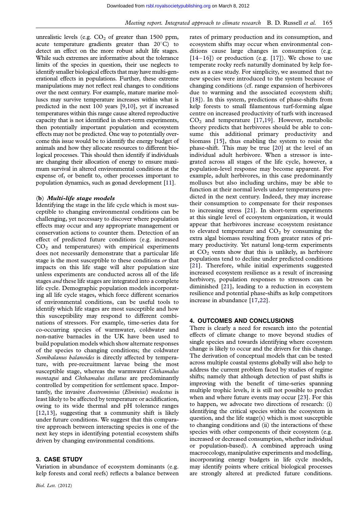unrealistic levels (e.g.  $CO<sub>2</sub>$  of greater than 1500 ppm, acute temperature gradients greater than  $20^{\circ}$ C) to detect an effect on the more robust adult life stages. While such extremes are informative about the tolerance limits of the species in question, their use neglects to identify smaller biological effects that may have multi-generational effects in populations. Further, these extreme manipulations may not reflect real changes to conditions over the next century. For example, mature marine molluscs may survive temperature increases within what is predicted in the next 100 years [[9](#page-3-0),[10](#page-3-0)], yet if increased temperatures within this range cause altered reproductive capacity that is not identified in short-term experiments, then potentially important population and ecosystem effects may not be predicted. One way to potentially overcome this issue would be to identify the energy budget of animals and how they allocate resources to different biological processes. This should then identify if individuals are changing their allocation of energy to ensure maximum survival in altered environmental conditions at the expense of, or benefit to, other processes important to population dynamics, such as gonad development [[11](#page-3-0)].

# (b) Multi-life stage models

Identifying the stage in the life cycle which is most susceptible to changing environmental conditions can be challenging, yet necessary to discover where population effects may occur and any appropriate management or conservation actions to counter them. Detection of an effect of predicted future conditions (e.g. increased  $CO<sub>2</sub>$  and temperatures) with empirical experiments does not necessarily demonstrate that a particular life stage is the most susceptible to these conditions or that impacts on this life stage will alter population size unless experiments are conducted across all of the life stages and these life stages are integrated into a complete life cycle. Demographic population models incorporating all life cycle stages, which force different scenarios of environmental conditions, can be useful tools to identify which life stages are most susceptible and how this susceptibility may respond to different combinations of stressors. For example, time-series data for co-occurring species of warmwater, coldwater and non-native barnacles in the UK have been used to build population models which show alternate responses of the species to changing conditions; the coldwater Semibalanus balanoides is directly affected by temperature, with pre-recruitment larvae being the most susceptible stage, whereas the warmwater Chthamalus montagui and Chthamalus stellatus are predominantly controlled by competition for settlement space. Importantly, the invasive Austrominius (Elminius) modestus is least likely to be affected by temperature or acidification, owing to its wide thermal and pH tolerance ranges [\[12,13\]](#page-3-0), suggesting that a community shift is likely under future conditions. We suggest that this comparative approach between interacting species is one of the next key steps in identifying potential ecosystem shifts driven by changing environmental conditions.

# 3. CASE STUDY

Variation in abundance of ecosystem dominants (e.g. kelp forests and coral reefs) reflects a balance between rates of primary production and its consumption, and ecosystem shifts may occur when environmental conditions cause large changes in consumption (e.g.  $[14–16]$  $[14–16]$  $[14–16]$  $[14–16]$ ) or production (e.g.  $[17]$  $[17]$ ). We chose to use temperate rocky reefs naturally dominated by kelp forests as a case study. For simplicity, we assumed that no new species were introduced to the system because of changing conditions (cf. range expansion of herbivores due to warming and the associated ecosystem shift; [\[18](#page-3-0)]). In this system, predictions of phase-shifts from kelp forests to small filamentous turf-forming algae centre on increased productivity of turfs with increased  $CO<sub>2</sub>$  and temperature [\[17,19](#page-3-0)]. However, metabolic theory predicts that herbivores should be able to consume this additional primary productivity and biomass [\[15](#page-3-0)], thus enabling the system to resist the phase-shift. This may be true [\[20](#page-3-0)] at the level of an individual adult herbivore. When a stressor is integrated across all stages of the life cycle, however, a population-level response may become apparent. For example, adult herbivores, in this case predominantly molluscs but also including urchins, may be able to function at their normal levels under temperatures predicted in the next century. Indeed, they may increase their consumption to compensate for their responses to increasing stress [\[21](#page-3-0)]. In short-term experiments at this single level of ecosystem organization, it would appear that herbivores increase ecosystem resistance to elevated temperature and  $CO<sub>2</sub>$  by consuming the extra algal biomass resulting from greater rates of primary productivity. Yet natural long-term experiments at  $CO<sub>2</sub>$  vents show that this is unlikely, as herbivore populations tend to decline under predicted conditions [\[21](#page-3-0)]. Therefore, while initial experiments suggested increased ecosystem resilience as a result of increasing herbivory, population responses to stressors can be diminished [\[21](#page-3-0)], leading to a reduction in ecosystem resilience and potential phase-shifts as kelp competitors increase in abundance [[17,22](#page-3-0)].

#### 4. OUTCOMES AND CONCLUSIONS

There is clearly a need for research into the potential effects of climate change to move beyond studies of single species and towards identifying where ecosystem change is likely to occur and the drivers for this change. The derivation of conceptual models that can be tested across multiple coastal systems globally will also help to address the current problem faced by studies of regime shifts; namely that although detection of past shifts is improving with the benefit of time-series spanning multiple trophic levels, it is still not possible to predict when and where future events may occur [\[23](#page-3-0)]. For this to happen, we advocate two directions of research: (i) identifying the critical species within the ecosystem in question, and the life stage(s) which is most susceptible to changing conditions and (ii) the interactions of these species with other components of their ecosystem (e.g. increased or decreased consumption, whether individual or population-based). A combined approach using macroecology, manipulative experiments and modelling, incorporating energy budgets in life cycle models, may identify points where critical biological processes are strongly altered at predicted future conditions.